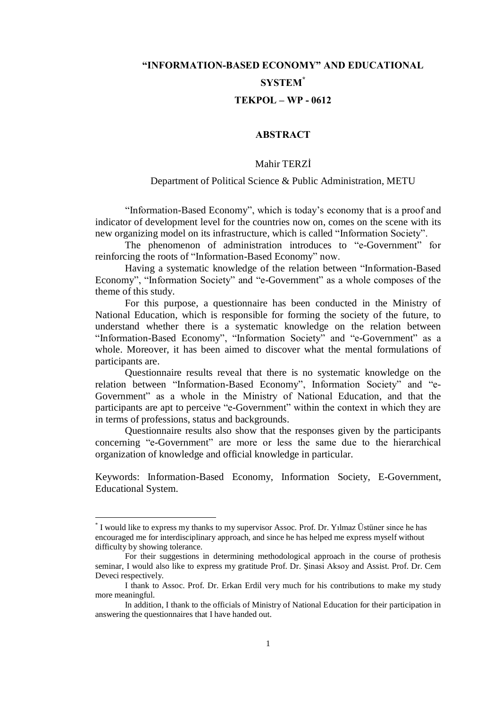# "INFORMATION-BASED ECONOMY" AND EDUCATIONAL **SYSTEM\***  $TEKPOL - WP - 0612$

# **ABSTRACT**

# Mahir TERZİ

### Department of Political Science & Public Administration, METU

"Information-Based Economy", which is today's economy that is a proof and indicator of development level for the countries now on, comes on the scene with its new organizing model on its infrastructure, which is called "Information Society".

The phenomenon of administration introduces to "e-Government" for reinforcing the roots of "Information-Based Economy" now.

Having a systematic knowledge of the relation between "Information-Based" Economy", "Information Society" and "e-Government" as a whole composes of the theme of this study.

For this purpose, a questionnaire has been conducted in the Ministry of National Education, which is responsible for forming the society of the future, to understand whether there is a systematic knowledge on the relation between "Information-Based Economy", "Information Society" and "e-Government" as a whole. Moreover, it has been aimed to discover what the mental formulations of participants are.

Questionnaire results reveal that there is no systematic knowledge on the relation between "Information-Based Economy", Information Society" and "e-Government" as a whole in the Ministry of National Education, and that the participants are apt to perceive "e-Government" within the context in which they are in terms of professions, status and backgrounds.

Questionnaire results also show that the responses given by the participants concerning "e-Government" are more or less the same due to the hierarchical organization of knowledge and official knowledge in particular.

Keywords: Information-Based Economy, Information Society, E-Government, **Educational System.** 

<sup>\*</sup>I would like to express my thanks to my supervisor Assoc. Prof. Dr. Yilmaz Üstüner since he has encouraged me for interdisciplinary approach, and since he has helped me express myself without difficulty by showing tolerance.

For their suggestions in determining methodological approach in the course of prothesis seminar, I would also like to express my gratitude Prof. Dr. Şinasi Aksoy and Assist. Prof. Dr. Cem Deveci respectively.

I thank to Assoc. Prof. Dr. Erkan Erdil very much for his contributions to make my study more meaningful.

In addition, I thank to the officials of Ministry of National Education for their participation in answering the questionnaires that I have handed out.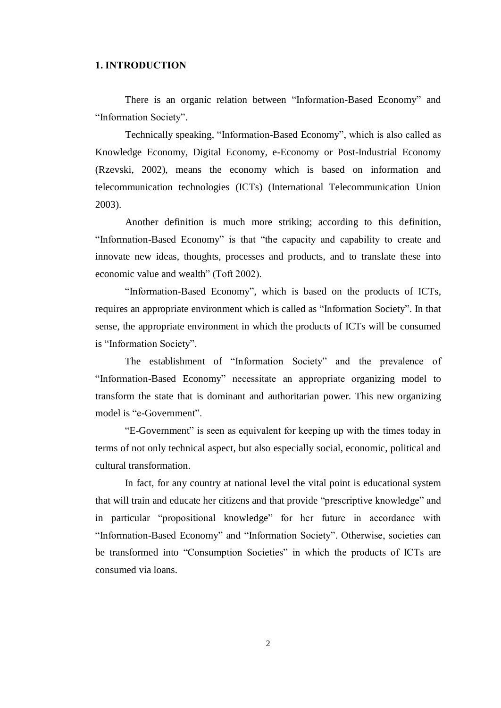# **1. INTRODUCTION**

There is an organic relation between "Information-Based Economy" and "Information Society".

Technically speaking, "Information-Based Economy", which is also called as Knowledge Economy, Digital Economy, e-Economy or Post-Industrial Economy (Rzevski, 2002), means the economy which is based on information and telecommunication technologies (ICTs) (International Telecommunication Union  $2003$ ).

Another definition is much more striking; according to this definition, "Information-Based Economy" is that "the capacity and capability to create and innovate new ideas, thoughts, processes and products, and to translate these into economic value and wealth" (Toft 2002).

"Information-Based Economy", which is based on the products of ICTs, requires an appropriate environment which is called as "Information Society". In that sense, the appropriate environment in which the products of ICTs will be consumed is "Information Society".

The establishment of "Information Society" and the prevalence of "Information-Based Economy" necessitate an appropriate organizing model to transform the state that is dominant and authoritarian power. This new organizing model is "e-Government".

"E-Government" is seen as equivalent for keeping up with the times today in terms of not only technical aspect, but also especially social, economic, political and cultural transformation.

In fact, for any country at national level the vital point is educational system that will train and educate her citizens and that provide "prescriptive knowledge" and in particular "propositional knowledge" for her future in accordance with "Information-Based Economy" and "Information Society". Otherwise, societies can be transformed into "Consumption Societies" in which the products of ICTs are consumed via loans.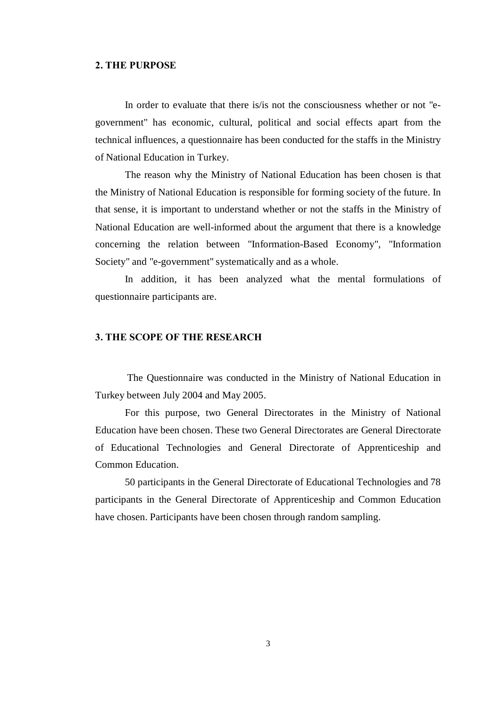## 2. THE PURPOSE

In order to evaluate that there is/is not the consciousness whether or not "egovernment" has economic, cultural, political and social effects apart from the technical influences, a questionnaire has been conducted for the staffs in the Ministry of National Education in Turkey.

The reason why the Ministry of National Education has been chosen is that the Ministry of National Education is responsible for forming society of the future. In that sense, it is important to understand whether or not the staffs in the Ministry of National Education are well-informed about the argument that there is a knowledge concerning the relation between "Information-Based Economy", "Information Society" and "e-government" systematically and as a whole.

In addition, it has been analyzed what the mental formulations of questionnaire participants are.

# 3. THE SCOPE OF THE RESEARCH

The Questionnaire was conducted in the Ministry of National Education in Turkey between July 2004 and May 2005.

For this purpose, two General Directorates in the Ministry of National Education have been chosen. These two General Directorates are General Directorate of Educational Technologies and General Directorate of Apprenticeship and Common Education.

50 participants in the General Directorate of Educational Technologies and 78 participants in the General Directorate of Apprenticeship and Common Education have chosen. Participants have been chosen through random sampling.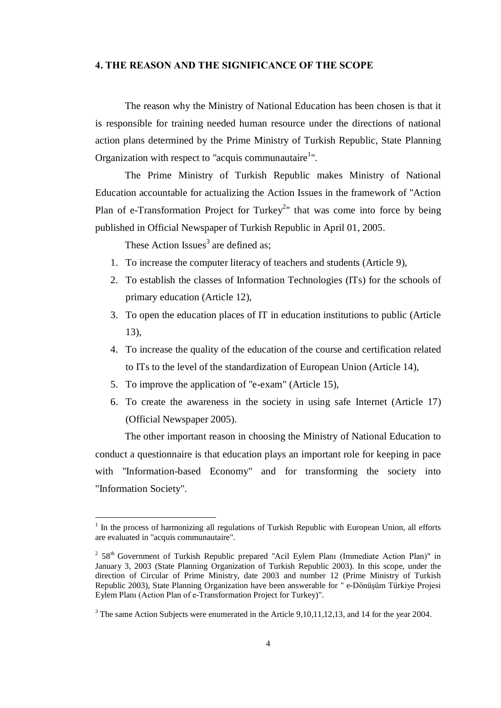# 4. THE REASON AND THE SIGNIFICANCE OF THE SCOPE

The reason why the Ministry of National Education has been chosen is that it is responsible for training needed human resource under the directions of national action plans determined by the Prime Ministry of Turkish Republic, State Planning Organization with respect to "acquis communautaire<sup>1</sup>".

The Prime Ministry of Turkish Republic makes Ministry of National Education accountable for actualizing the Action Issues in the framework of "Action Plan of e-Transformation Project for Turkey<sup>2</sup>" that was come into force by being published in Official Newspaper of Turkish Republic in April 01, 2005.

These Action Issues<sup>3</sup> are defined as;

- 1. To increase the computer literacy of teachers and students (Article 9),
- 2. To establish the classes of Information Technologies (ITs) for the schools of primary education (Article 12),
- 3. To open the education places of IT in education institutions to public (Article 13),
- 4. To increase the quality of the education of the course and certification related to ITs to the level of the standardization of European Union (Article 14),
- 5. To improve the application of "e-exam" (Article 15),
- 6. To create the awareness in the society in using safe Internet (Article 17) (Official Newspaper 2005).

The other important reason in choosing the Ministry of National Education to conduct a questionnaire is that education plays an important role for keeping in pace with "Information-based Economy" and for transforming the society into "Information Society".

 $1$  In the process of harmonizing all regulations of Turkish Republic with European Union, all efforts are evaluated in "acquis communautaire".

 $2^{2}$  58<sup>th</sup> Government of Turkish Republic prepared "Acil Eylem Planı (Immediate Action Plan)" in January 3, 2003 (State Planning Organization of Turkish Republic 2003). In this scope, under the direction of Circular of Prime Ministry, date 2003 and number 12 (Prime Ministry of Turkish Republic 2003), State Planning Organization have been answerable for "e-Dönüşüm Türkiye Projesi Eylem Planı (Action Plan of e-Transformation Project for Turkey)".

 $3$  The same Action Subjects were enumerated in the Article 9,10,11,12,13, and 14 for the year 2004.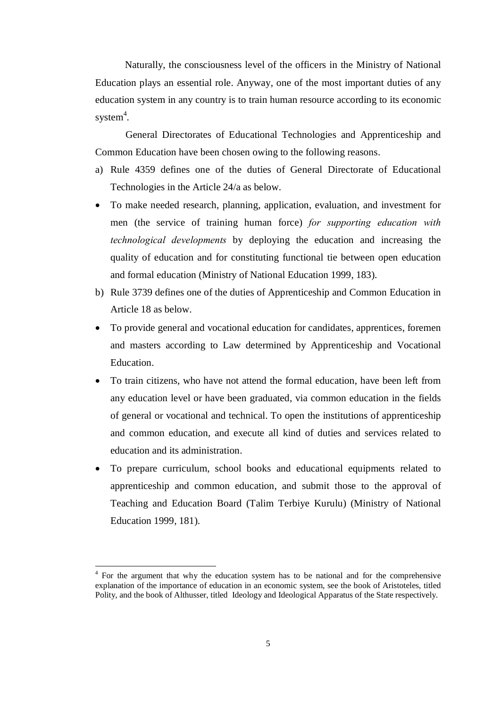Naturally, the consciousness level of the officers in the Ministry of National Education plays an essential role. Anyway, one of the most important duties of any education system in any country is to train human resource according to its economic system 4

.General Directorates of Educational Technologies and Apprenticeship and Common Education have been chosen owing to the following reasons.

- a) Rule 4359 defines one of the duties of General Directorate of Educational Technologies in the Article 24/a as below.
- To make needed research, planning, application, evaluation, and investment for men (the service of training human force) for supporting education with technological developments by deploying the education and increasing the quality of education and for constituting functional tie between open education and formal education (Ministry of National Education 1999, 183).
- b) Rule 3739 defines one of the duties of Apprenticeship and Common Education in Article 18 as below.
- To provide general and vocational education for candidates, apprentices, foremen and masters according to Law determined by Apprenticeship and Vocational Education.
- To train citizens, who have not attend the formal education, have been left from any education level or have been graduated, via common education in the fields of general or vocational and technical. To open the institutions of apprenticeship and common education, and execute all kind of duties and services related to education and its administration.
- To prepare curriculum, school books and educational equipments related to apprenticeship and common education, and submit those to the approval of Teaching and Education Board (Talim Terbiye Kurulu) (Ministry of National Education 1999, 181).

<sup>&</sup>lt;sup>4</sup> For the argument that why the education system has to be national and for the comprehensive explanation of the importance of education in an economic system, see the book of Aristoteles, titled Polity, and the book of Althusser, titled Ideology and Ideological Apparatus of the State respectively.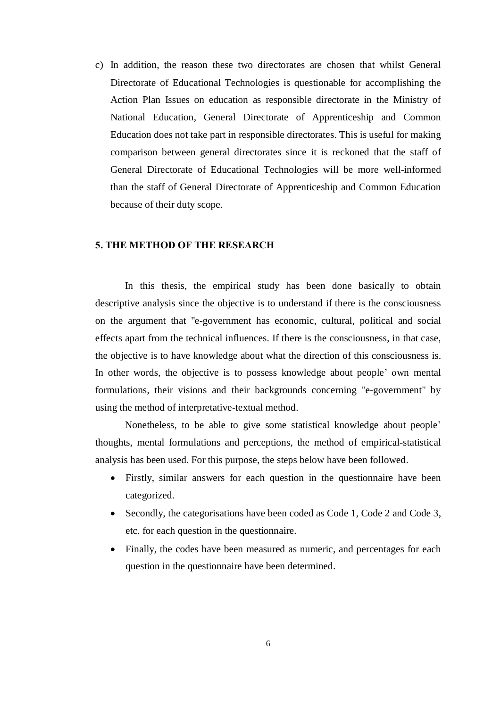c) In addition, the reason these two directorates are chosen that whilst General Directorate of Educational Technologies is questionable for accomplishing the Action Plan Issues on education as responsible directorate in the Ministry of National Education, General Directorate of Apprenticeship and Common Education does not take part in responsible directorates. This is useful for making comparison between general directorates since it is reckoned that the staff of General Directorate of Educational Technologies will be more well-informed than the staff of General Directorate of Apprenticeship and Common Education because of their duty scope.

## 5. THE METHOD OF THE RESEARCH

In this thesis, the empirical study has been done basically to obtain descriptive analysis since the objective is to understand if there is the consciousness on the argument that "e-government has economic, cultural, political and social effects apart from the technical influences. If there is the consciousness, in that case, the objective is to have knowledge about what the direction of this consciousness is. In other words, the objective is to possess knowledge about people' own mental formulations, their visions and their backgrounds concerning "e-government" by using the method of interpretative-textual method.

Nonetheless, to be able to give some statistical knowledge about people<sup>2</sup> thoughts, mental formulations and perceptions, the method of empirical-statistical analysis has been used. For this purpose, the steps below have been followed.

- Firstly, similar answers for each question in the questionnaire have been categorized.
- Secondly, the categorisations have been coded as Code 1, Code 2 and Code 3, etc. for each question in the questionnaire.
- Finally, the codes have been measured as numeric, and percentages for each question in the questionnaire have been determined.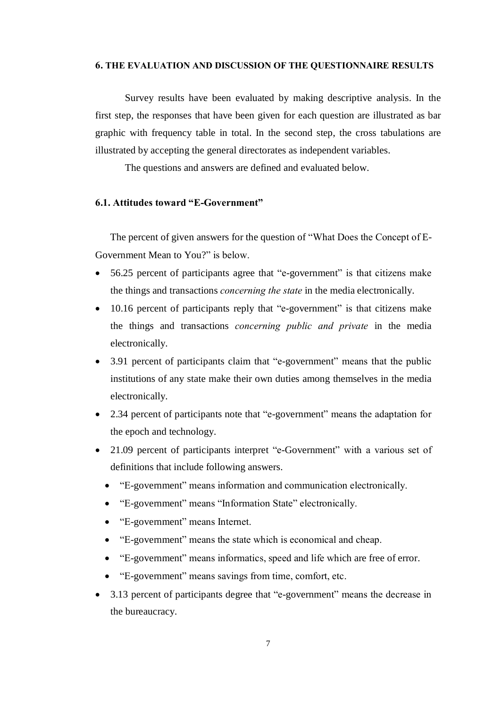#### 6. THE EVALUATION AND DISCUSSION OF THE QUESTIONNAIRE RESULTS

Survey results have been evaluated by making descriptive analysis. In the first step, the responses that have been given for each question are illustrated as bar graphic with frequency table in total. In the second step, the cross tabulations are illustrated by accepting the general directorates as independent variables.

The questions and answers are defined and evaluated below.

# 6.1. Attitudes toward "E-Government"

The percent of given answers for the question of "What Does the Concept of E-Government Mean to You?" is below.

- $\bullet$  56.25 percent of participants agree that "e-government" is that citizens make the things and transactions concerning the state in the media electronically.
- $\bullet$  10.16 percent of participants reply that "e-government" is that citizens make the things and transactions concerning public and private in the media electronically.
- 3.91 percent of participants claim that "e-government" means that the public institutions of any state make their own duties among themselves in the media electronically.
- $\bullet$  2.34 percent of participants note that "e-government" means the adaptation for the epoch and technology.
- $\bullet$  21.09 percent of participants interpret "e-Government" with a various set of definitions that include following answers.
	- ìE-governmentî means information and communication electronically.
	- "E-government" means "Information State" electronically.
	- "E-government" means Internet.
	- "E-government" means the state which is economical and cheap.
	- "E-government" means informatics, speed and life which are free of error.
	- "E-government" means savings from time, comfort, etc.
- 3.13 percent of participants degree that "e-government" means the decrease in the bureaucracy.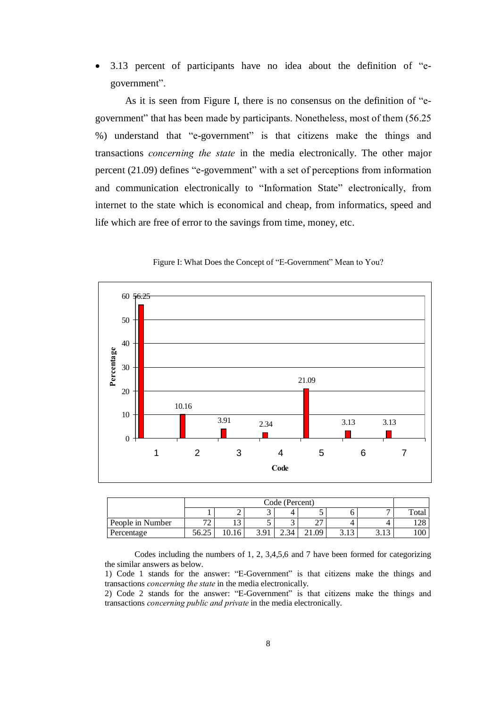$3.13$  percent of participants have no idea about the definition of  $\text{``e-}$ government".

As it is seen from Figure I, there is no consensus on the definition of  $\mathscr{C}_e$ government" that has been made by participants. Nonetheless, most of them (56.25) %) understand that "e-government" is that citizens make the things and transactions concerning the state in the media electronically. The other major percent  $(21.09)$  defines "e-government" with a set of perceptions from information and communication electronically to "Information State" electronically, from internet to the state which is economical and cheap, from informatics, speed and life which are free of error to the savings from time, money, etc.



Figure I: What Does the Concept of "E-Government" Mean to You?

|                  |                               | Code (Percent) |      |              |             |         |                     |             |  |
|------------------|-------------------------------|----------------|------|--------------|-------------|---------|---------------------|-------------|--|
|                  |                               | ັ<br>ັ         |      |              |             |         |                     |             |  |
| People in Number | $\overline{\phantom{a}}$<br>∼ | ⊥J             | ັ    |              | $\sim$<br>∸ |         |                     | 170<br>14 C |  |
| Percentage       | 56.25                         | 0.16           | 3.91 | $\angle .34$ | .09         | ں 1 ، ب | $\overline{1}$<br>ر | 100         |  |

Codes including the numbers of 1, 2, 3,4,5,6 and 7 have been formed for categorizing the similar answers as below.

<sup>1)</sup> Code 1 stands for the answer: "E-Government" is that citizens make the things and transactions concerning the state in the media electronically.

<sup>2)</sup> Code 2 stands for the answer:  $E-Government$  is that citizens make the things and transactions concerning public and private in the media electronically.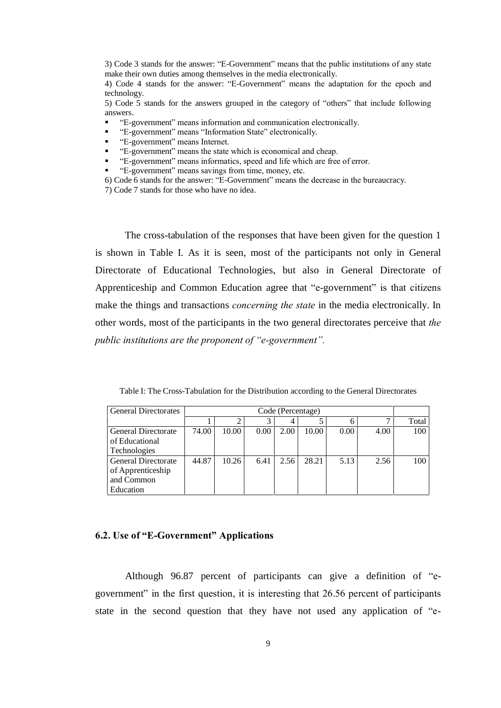3) Code 3 stands for the answer: "E-Government" means that the public institutions of any state make their own duties among themselves in the media electronically.

4) Code 4 stands for the answer: "E-Government" means the adaptation for the epoch and technology.

5) Code 5 stands for the answers grouped in the category of "others" that include following answers.

- ìE-governmentî means information and communication electronically.
- **•** "E-government" means "Information State" electronically.
- "E-government" means Internet.
- ìE-governmentî means the state which is economical and cheap.
- ìE-governmentî means informatics, speed and life which are free of error.
- ìE-governmentî means savings from time, money, etc.
- 6) Code 6 stands for the answer: "E-Government" means the decrease in the bureaucracy.
- 7) Code 7 stands for those who have no idea.

The cross-tabulation of the responses that have been given for the question 1 is shown in Table I. As it is seen, most of the participants not only in General Directorate of Educational Technologies, but also in General Directorate of Apprenticeship and Common Education agree that "e-government" is that citizens make the things and transactions concerning the state in the media electronically. In other words, most of the participants in the two general directorates perceive that the public institutions are the proponent of  $"e$ -government".

| Table I: The Cross-Tabulation for the Distribution according to the General Directorates |  |
|------------------------------------------------------------------------------------------|--|
|                                                                                          |  |

| <b>General Directorates</b> |       | Code (Percentage) |      |      |       |      |      |       |
|-----------------------------|-------|-------------------|------|------|-------|------|------|-------|
|                             |       |                   |      | 4    |       |      |      | Total |
| <b>General Directorate</b>  | 74.00 | 10.00             | 0.00 | 2.00 | 10.00 | 0.00 | 4.00 | 100   |
| of Educational              |       |                   |      |      |       |      |      |       |
| Technologies                |       |                   |      |      |       |      |      |       |
| <b>General Directorate</b>  | 44.87 | 10.26             | 6.41 | 2.56 | 28.21 | 5.13 | 2.56 | 100   |
| of Apprenticeship           |       |                   |      |      |       |      |      |       |
| and Common                  |       |                   |      |      |       |      |      |       |
| Education                   |       |                   |      |      |       |      |      |       |

#### 6.2. Use of "E-Government" Applications

Although  $96.87$  percent of participants can give a definition of  $\text{``e-}$ government" in the first question, it is interesting that  $26.56$  percent of participants state in the second question that they have not used any application of "e-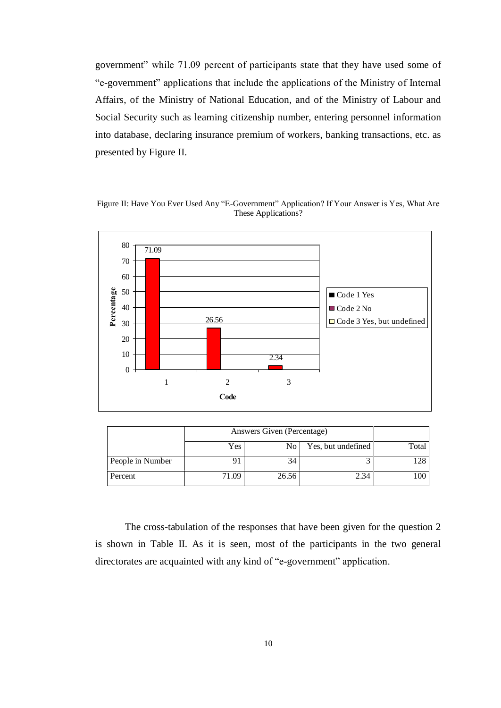government" while 71.09 percent of participants state that they have used some of ìe-governmentî applications that include the applications of the Ministry of Internal Affairs, of the Ministry of National Education, and of the Ministry of Labour and Social Security such as learning citizenship number, entering personnel information into database, declaring insurance premium of workers, banking transactions, etc. as presented by Figure II.

Figure II: Have You Ever Used Any "E-Government" Application? If Your Answer is Yes, What Are These Applications?



|                  | Answers Given (Percentage) |     |                    |       |
|------------------|----------------------------|-----|--------------------|-------|
|                  | Yes.                       | No. | Yes, but undefined | Total |
| People in Number |                            | 34  |                    | 128   |
| Percent          | 71.09                      | 100 |                    |       |

The cross-tabulation of the responses that have been given for the question 2 is shown in Table II. As it is seen, most of the participants in the two general directorates are acquainted with any kind of "e-government" application.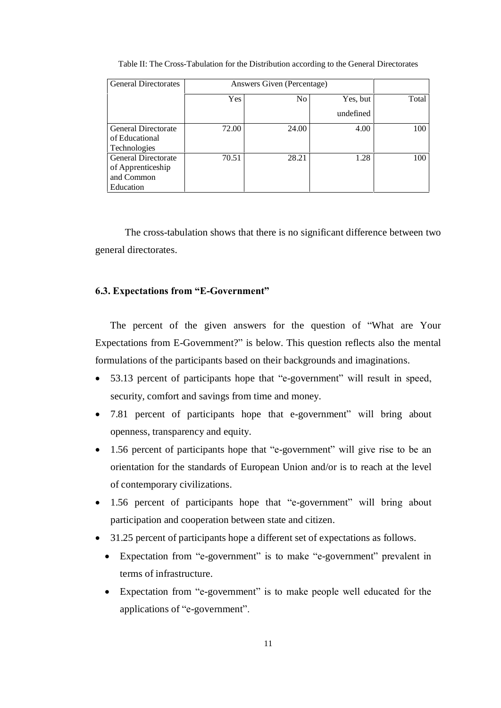| <b>General Directorates</b>                                                |            | Answers Given (Percentage) |           |       |  |  |  |
|----------------------------------------------------------------------------|------------|----------------------------|-----------|-------|--|--|--|
|                                                                            | <b>Yes</b> | N <sub>0</sub>             | Yes, but  | Total |  |  |  |
|                                                                            |            |                            | undefined |       |  |  |  |
| <b>General Directorate</b><br>of Educational<br><b>Technologies</b>        | 72.00      | 24.00                      | 4.00      | 100   |  |  |  |
| <b>General Directorate</b><br>of Apprenticeship<br>and Common<br>Education | 70.51      | 28.21                      | 1.28      | 100   |  |  |  |

Table II: The Cross-Tabulation for the Distribution according to the General Directorates

The cross-tabulation shows that there is no significant difference between two general directorates.

# 6.3. Expectations from "E-Government"

The percent of the given answers for the question of "What are Your Expectations from E-Government?" is below. This question reflects also the mental formulations of the participants based on their backgrounds and imaginations.

- 53.13 percent of participants hope that "e-government" will result in speed, security, comfort and savings from time and money.
- 7.81 percent of participants hope that e-government" will bring about openness, transparency and equity.
- $\bullet$  1.56 percent of participants hope that "e-government" will give rise to be an orientation for the standards of European Union and/or is to reach at the level of contemporary civilizations.
- $\bullet$  1.56 percent of participants hope that "e-government" will bring about participation and cooperation between state and citizen.
- 31.25 percent of participants hope a different set of expectations as follows.
	- Expectation from "e-government" is to make "e-government" prevalent in terms of infrastructure.
	- Expectation from "e-government" is to make people well educated for the applications of "e-government".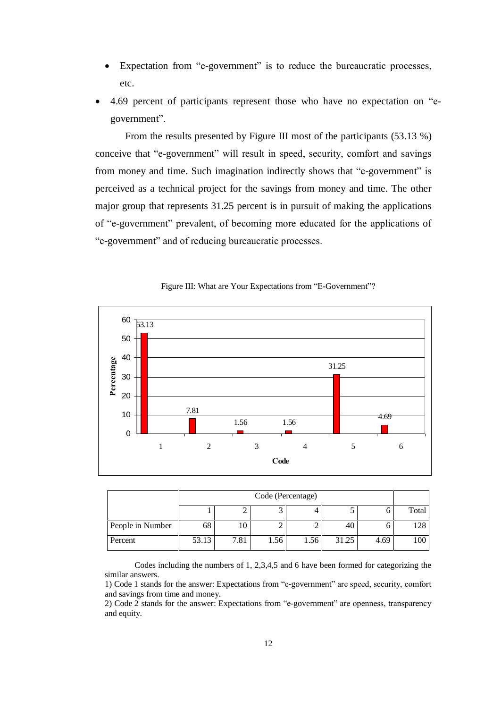- Expectation from "e-government" is to reduce the bureaucratic processes, etc.
- 4.69 percent of participants represent those who have no expectation on "egovernment".

From the results presented by Figure III most of the participants (53.13 %) conceive that "e-government" will result in speed, security, comfort and savings from money and time. Such imagination indirectly shows that "e-government" is perceived as a technical project for the savings from money and time. The other major group that represents 31.25 percent is in pursuit of making the applications of "e-government" prevalent, of becoming more educated for the applications of ìe-governmentî and of reducing bureaucratic processes.



Figure III: What are Your Expectations from "E-Government"?

|                  |       | Code (Percentage)                     |  |  |     |  |     |  |  |  |
|------------------|-------|---------------------------------------|--|--|-----|--|-----|--|--|--|
|                  |       |                                       |  |  |     |  |     |  |  |  |
| People in Number | 68    | 10                                    |  |  | -46 |  | 128 |  |  |  |
| Percent          | 53.13 | 7.81<br>31.25<br>1.56<br>1.56<br>4.69 |  |  |     |  |     |  |  |  |

Codes including the numbers of 1, 2,3,4,5 and 6 have been formed for categorizing the similar answers.

2) Code  $2$  stands for the answer: Expectations from "e-government" are openness, transparency and equity.

<sup>1)</sup> Code 1 stands for the answer: Expectations from "e-government" are speed, security, comfort and savings from time and money.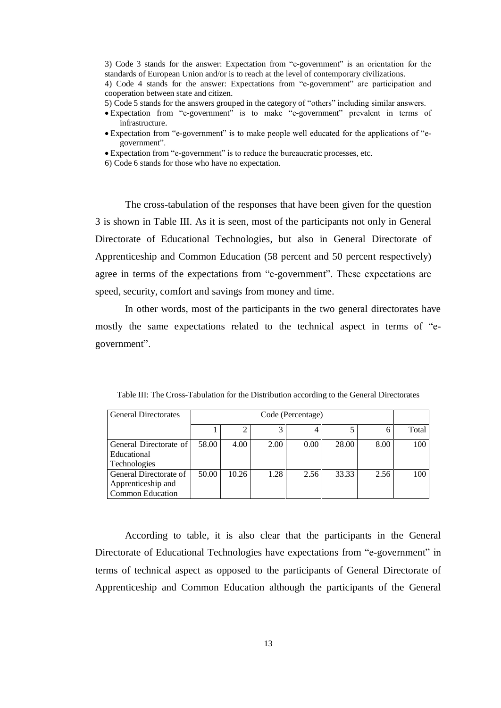3) Code 3 stands for the answer: Expectation from "e-government" is an orientation for the standards of European Union and/or is to reach at the level of contemporary civilizations.

4) Code 4 stands for the answer: Expectations from "e-government" are participation and cooperation between state and citizen.

5) Code 5 stands for the answers grouped in the category of "others" including similar answers.

- Expectation from "e-government" is to make "e-government" prevalent in terms of infrastructure.
- Expectation from "e-government" is to make people well educated for the applications of "egovernment".

• Expectation from "e-government" is to reduce the bureaucratic processes, etc.

6) Code 6 stands for those who have no expectation.

The cross-tabulation of the responses that have been given for the question 3 is shown in Table III. As it is seen, most of the participants not only in General Directorate of Educational Technologies, but also in General Directorate of Apprenticeship and Common Education (58 percent and 50 percent respectively) agree in terms of the expectations from "e-government". These expectations are speed, security, comfort and savings from money and time.

In other words, most of the participants in the two general directorates have mostly the same expectations related to the technical aspect in terms of "egovernment".

| <b>General Directorates</b> |       | Code (Percentage) |      |      |       |      |       |  |
|-----------------------------|-------|-------------------|------|------|-------|------|-------|--|
|                             |       |                   | 2    |      |       |      | Total |  |
| General Directorate of      | 58.00 | 4.00              | 2.00 | 0.00 | 28.00 | 8.00 | 100   |  |
| Educational                 |       |                   |      |      |       |      |       |  |
| Technologies                |       |                   |      |      |       |      |       |  |
| General Directorate of      | 50.00 | 10.26             | 1.28 | 2.56 | 33.33 | 2.56 | 100   |  |
| Apprenticeship and          |       |                   |      |      |       |      |       |  |
| <b>Common Education</b>     |       |                   |      |      |       |      |       |  |

Table III: The Cross-Tabulation for the Distribution according to the General Directorates

According to table, it is also clear that the participants in the General Directorate of Educational Technologies have expectations from "e-government" in terms of technical aspect as opposed to the participants of General Directorate of Apprenticeship and Common Education although the participants of the General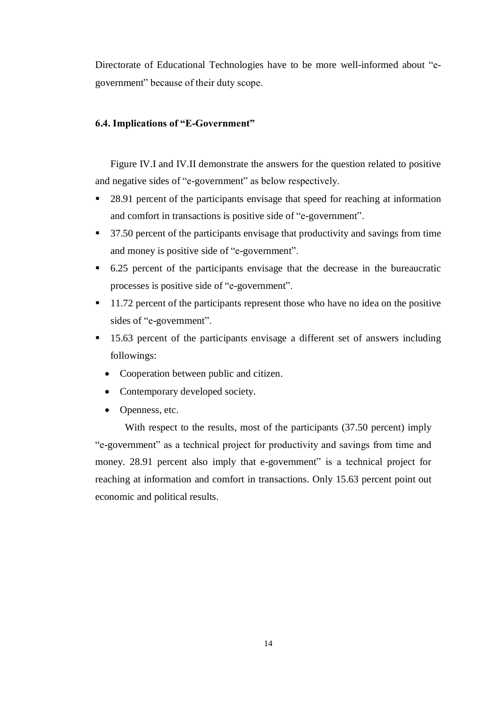Directorate of Educational Technologies have to be more well-informed about "egovernment" because of their duty scope.

# 6.4. Implications of "E-Government"

Figure IV.I and IV.II demonstrate the answers for the question related to positive and negative sides of "e-government" as below respectively.

- 28.91 percent of the participants envisage that speed for reaching at information and comfort in transactions is positive side of "e-government".
- 37.50 percent of the participants envisage that productivity and savings from time and money is positive side of "e-government".
- 6.25 percent of the participants envisage that the decrease in the bureaucratic processes is positive side of "e-government".
- $\blacksquare$  11.72 percent of the participants represent those who have no idea on the positive sides of "e-government".
- <sup>1</sup> 15.63 percent of the participants envisage a different set of answers including followings:
	- Cooperation between public and citizen.
	- Contemporary developed society.
	- Openness, etc.

With respect to the results, most of the participants (37.50 percent) imply ìe-governmentî as a technical project for productivity and savings from time and money. 28.91 percent also imply that e-government" is a technical project for reaching at information and comfort in transactions. Only 15.63 percent point out economic and political results.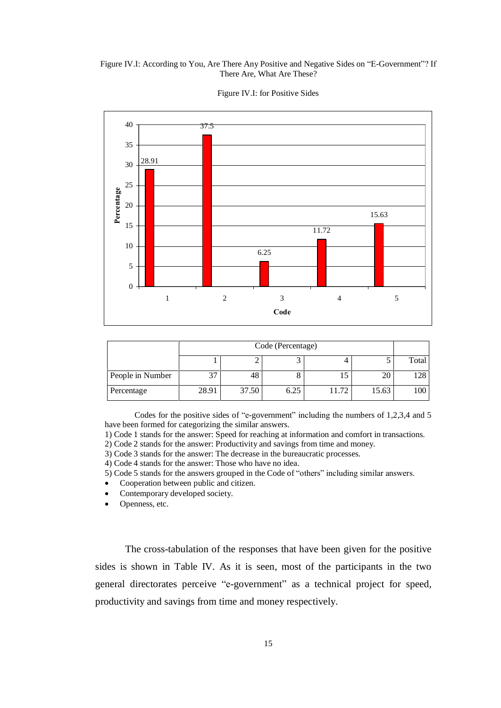#### Figure IV.I: According to You, Are There Any Positive and Negative Sides on "E-Government"? If There Are, What Are These?



Figure IV.I: for Positive Sides

|                  |       | Code (Percentage) |      |       |       |       |  |  |
|------------------|-------|-------------------|------|-------|-------|-------|--|--|
|                  |       |                   |      |       |       | Total |  |  |
| People in Number | 37    | 48                |      |       | 20    | ا 128 |  |  |
| Percentage       | 28.91 | 37.50             | 6.25 | 11.72 | 15.63 | 100   |  |  |

Codes for the positive sides of "e-government" including the numbers of 1,2,3,4 and 5 have been formed for categorizing the similar answers.

1) Code 1 stands for the answer: Speed for reaching at information and comfort in transactions.

2) Code 2 stands for the answer: Productivity and savings from time and money.

3) Code 3 stands for the answer: The decrease in the bureaucratic processes.

4) Code 4 stands for the answer: Those who have no idea.

5) Code 5 stands for the answers grouped in the Code of "others" including similar answers.

- Cooperation between public and citizen.
- Contemporary developed society.

Openness, etc.

The cross-tabulation of the responses that have been given for the positive sides is shown in Table IV. As it is seen, most of the participants in the two general directorates perceive "e-government" as a technical project for speed, productivity and savings from time and money respectively.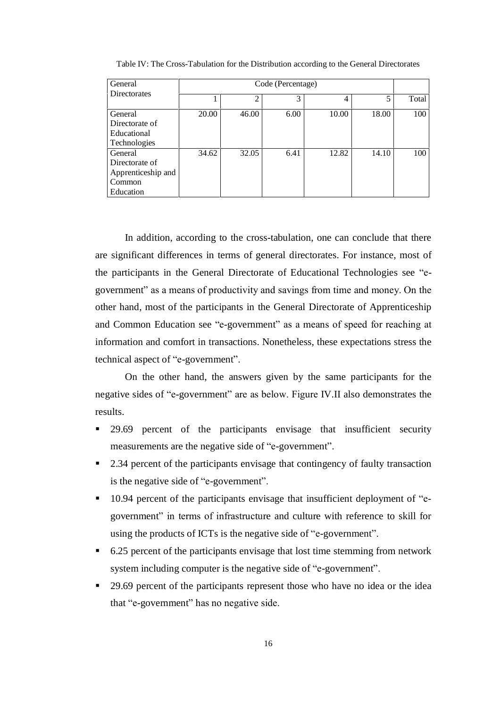| General             |       | Code (Percentage) |      |       |       |       |  |  |
|---------------------|-------|-------------------|------|-------|-------|-------|--|--|
| <b>Directorates</b> |       | っ                 | 3    | 4     |       | Total |  |  |
|                     |       |                   |      |       |       |       |  |  |
| General             | 20.00 | 46.00             | 6.00 | 10.00 | 18.00 | 100   |  |  |
| Directorate of      |       |                   |      |       |       |       |  |  |
| Educational         |       |                   |      |       |       |       |  |  |
| <b>Technologies</b> |       |                   |      |       |       |       |  |  |
| General             | 34.62 | 32.05             | 6.41 | 12.82 | 14.10 | 100   |  |  |
| Directorate of      |       |                   |      |       |       |       |  |  |
| Apprenticeship and  |       |                   |      |       |       |       |  |  |
| Common              |       |                   |      |       |       |       |  |  |
| Education           |       |                   |      |       |       |       |  |  |

Table IV: The Cross-Tabulation for the Distribution according to the General Directorates

In addition, according to the cross-tabulation, one can conclude that there are significant differences in terms of general directorates. For instance, most of the participants in the General Directorate of Educational Technologies see "egovernment" as a means of productivity and savings from time and money. On the other hand, most of the participants in the General Directorate of Apprenticeship and Common Education see "e-government" as a means of speed for reaching at information and comfort in transactions. Nonetheless, these expectations stress the technical aspect of "e-government".

On the other hand, the answers given by the same participants for the negative sides of "e-government" are as below. Figure IV.II also demonstrates the results.

- 29.69 percent of the participants envisage that insufficient security measurements are the negative side of "e-government".
- 2.34 percent of the participants envisage that contingency of faulty transaction is the negative side of "e-government".
- 10.94 percent of the participants envisage that insufficient deployment of "egovernment" in terms of infrastructure and culture with reference to skill for using the products of ICTs is the negative side of "e-government".
- 6.25 percent of the participants envisage that lost time stemming from network system including computer is the negative side of "e-government".
- <sup>29</sup>.69 percent of the participants represent those who have no idea or the idea that "e-government" has no negative side.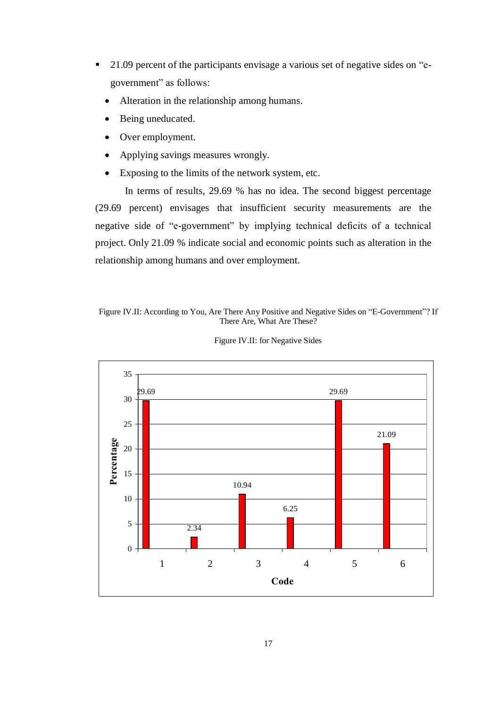- $\blacksquare$  21.09 percent of the participants envisage a various set of negative sides on  $\mathscr{C}_{e}$ government" as follows:
	- Alteration in the relationship among humans.
	- Being uneducated.
	- Over employment.
	- Applying savings measures wrongly.
	- Exposing to the limits of the network system, etc.

In terms of results, 29.69 % has no idea. The second biggest percentage (29.69 percent) envisages that insufficient security measurements are the negative side of "e-government" by implying technical deficits of a technical project. Only 21.09 % indicate social and economic points such as alteration in the relationship among humans and over employment.

## Figure IV.II: According to You, Are There Any Positive and Negative Sides on "E-Government"? If There Are, What Are These?



Figure IV.II: for Negative Sides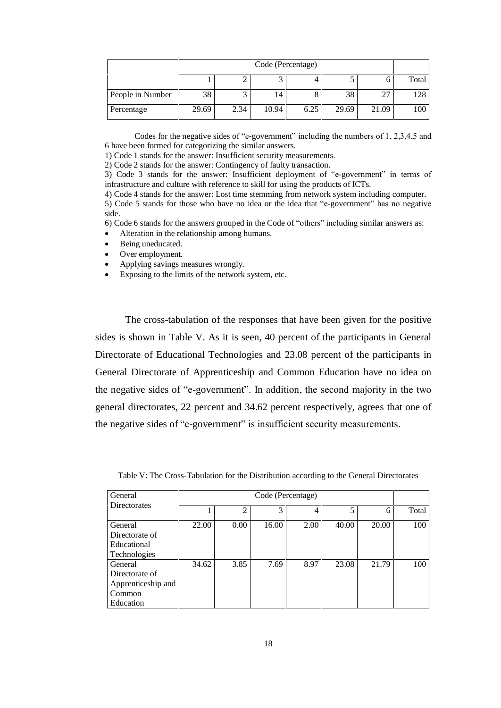|                  |       | Code (Percentage) |       |      |       |       |     |  |  |  |
|------------------|-------|-------------------|-------|------|-------|-------|-----|--|--|--|
|                  |       |                   |       |      |       |       |     |  |  |  |
| People in Number | 38    |                   | 14    |      | 38    |       | 128 |  |  |  |
| Percentage       | 29.69 | 2.34              | 10.94 | 6.25 | 29.69 | 21.09 | 100 |  |  |  |

Codes for the negative sides of "e-government" including the numbers of  $1, 2, 3, 4, 5$  and 6 have been formed for categorizing the similar answers.

1) Code 1 stands for the answer: Insufficient security measurements.

2) Code 2 stands for the answer: Contingency of faulty transaction. 3) Code 3 stands for the answer: Insufficient deployment of "e-government" in terms of infrastructure and culture with reference to skill for using the products of ICTs.

4) Code 4 stands for the answer: Lost time stemming from network system including computer.

5) Code 5 stands for those who have no idea or the idea that "e-government" has no negative side.

 $6)$  Code 6 stands for the answers grouped in the Code of "others" including similar answers as:

- Alteration in the relationship among humans.
- Being uneducated.
- Over employment.
- Applying savings measures wrongly.
- Exposing to the limits of the network system, etc.

The cross-tabulation of the responses that have been given for the positive sides is shown in Table V. As it is seen, 40 percent of the participants in General Directorate of Educational Technologies and 23.08 percent of the participants in General Directorate of Apprenticeship and Common Education have no idea on the negative sides of "e-government". In addition, the second majority in the two general directorates, 22 percent and 34.62 percent respectively, agrees that one of the negative sides of "e-government" is insufficient security measurements.

| General             |       |                |       |      |       |       |       |
|---------------------|-------|----------------|-------|------|-------|-------|-------|
| <b>Directorates</b> |       | $\overline{c}$ | 3     | 4    | 5     | 6     | Total |
| General             | 22.00 | 0.00           | 16.00 | 2.00 | 40.00 | 20.00 | 100   |
| Directorate of      |       |                |       |      |       |       |       |
| Educational         |       |                |       |      |       |       |       |
| <b>Technologies</b> |       |                |       |      |       |       |       |
| General             | 34.62 | 3.85           | 7.69  | 8.97 | 23.08 | 21.79 | 100   |
| Directorate of      |       |                |       |      |       |       |       |
| Apprenticeship and  |       |                |       |      |       |       |       |
| Common              |       |                |       |      |       |       |       |
| Education           |       |                |       |      |       |       |       |

Table V: The Cross-Tabulation for the Distribution according to the General Directorates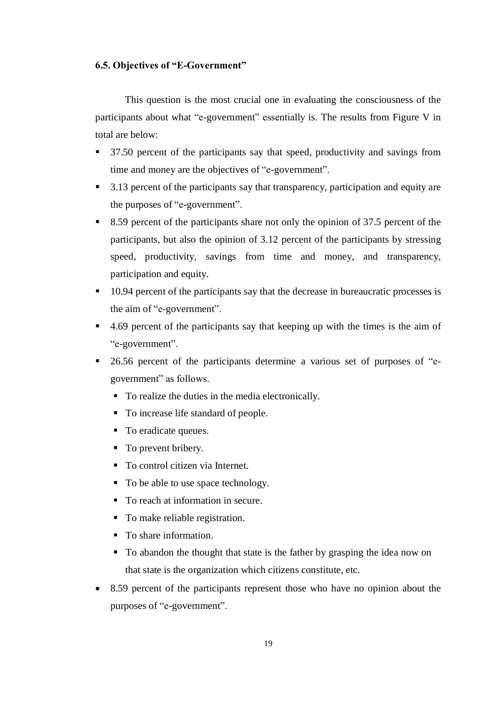## 6.5. Objectives of "E-Government"

This question is the most crucial one in evaluating the consciousness of the participants about what "e-government" essentially is. The results from Figure V in total are below:

- 37.50 percent of the participants say that speed, productivity and savings from time and money are the objectives of "e-government".
- 3.13 percent of the participants say that transparency, participation and equity are the purposes of "e-government".
- 8.59 percent of the participants share not only the opinion of 37.5 percent of the participants, but also the opinion of 3.12 percent of the participants by stressing speed, productivity, savings from time and money, and transparency, participation and equity.
- 10.94 percent of the participants say that the decrease in bureaucratic processes is the aim of "e-government".
- $\blacksquare$  4.69 percent of the participants say that keeping up with the times is the aim of "e-government".
- <sup>26.56</sup> percent of the participants determine a various set of purposes of "egovernment" as follows.
	- To realize the duties in the media electronically.
	- To increase life standard of people.
	- To eradicate queues.
	- To prevent bribery.
	- To control citizen via Internet.
	- To be able to use space technology.
	- To reach at information in secure.
	- To make reliable registration.
	- To share information.
	- To abandon the thought that state is the father by grasping the idea now on that state is the organization which citizens constitute, etc.
- 8.59 percent of the participants represent those who have no opinion about the purposes of "e-government".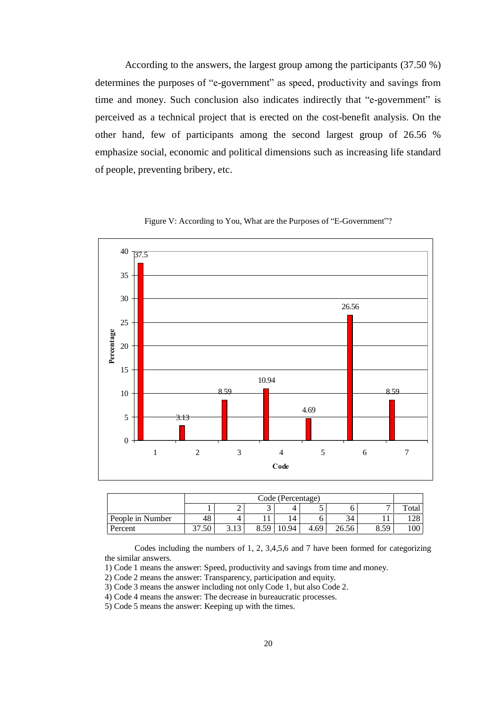According to the answers, the largest group among the participants (37.50 %) determines the purposes of "e-government" as speed, productivity and savings from time and money. Such conclusion also indicates indirectly that "e-government" is perceived as a technical project that is erected on the cost-benefit analysis. On the other hand, few of participants among the second largest group of 26.56 % emphasize social, economic and political dimensions such as increasing life standard of people, preventing bribery, etc.





|                  |      | Code (Percentage)                                             |  |  |  |    |   |       |  |  |
|------------------|------|---------------------------------------------------------------|--|--|--|----|---|-------|--|--|
|                  |      | ∸                                                             |  |  |  |    | - | Total |  |  |
| People in Number | 48   | 4                                                             |  |  |  | 34 |   | 128   |  |  |
| Percent          | '.50 | 50<br>8.59<br>10.94<br>26.56<br>$\sqrt{2}$<br>4.69<br>$\circ$ |  |  |  |    |   |       |  |  |

Codes including the numbers of 1, 2, 3,4,5,6 and 7 have been formed for categorizing the similar answers.

1) Code 1 means the answer: Speed, productivity and savings from time and money.

2) Code 2 means the answer: Transparency, participation and equity.

3) Code 3 means the answer including not only Code 1, but also Code 2.

4) Code 4 means the answer: The decrease in bureaucratic processes.

5) Code 5 means the answer: Keeping up with the times.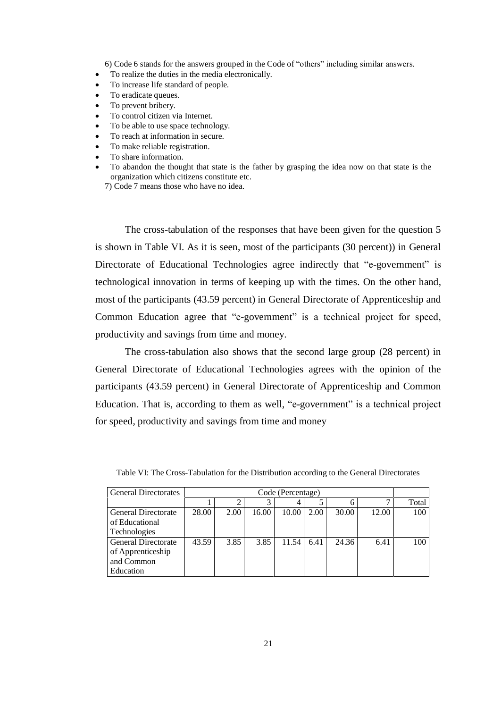6) Code 6 stands for the answers grouped in the Code of "others" including similar answers.

- To realize the duties in the media electronically.
- To increase life standard of people.
- To eradicate queues.
- To prevent bribery.
- To control citizen via Internet.
- To be able to use space technology.
- To reach at information in secure.
- To make reliable registration.
- To share information.
- To abandon the thought that state is the father by grasping the idea now on that state is the organization which citizens constitute etc.
	- 7) Code 7 means those who have no idea.

The cross-tabulation of the responses that have been given for the question 5 is shown in Table VI. As it is seen, most of the participants (30 percent)) in General Directorate of Educational Technologies agree indirectly that "e-government" is technological innovation in terms of keeping up with the times. On the other hand, most of the participants (43.59 percent) in General Directorate of Apprenticeship and Common Education agree that "e-government" is a technical project for speed, productivity and savings from time and money.

The cross-tabulation also shows that the second large group (28 percent) in General Directorate of Educational Technologies agrees with the opinion of the participants (43.59 percent) in General Directorate of Apprenticeship and Common Education. That is, according to them as well, "e-government" is a technical project for speed, productivity and savings from time and money

| <b>General Directorates</b> | Code (Percentage) |      |       |       |      |       |       |       |
|-----------------------------|-------------------|------|-------|-------|------|-------|-------|-------|
|                             |                   |      | 3     | 4     |      |       |       | Total |
| <b>General Directorate</b>  | 28.00             | 2.00 | 16.00 | 10.00 | 2.00 | 30.00 | 12.00 | 100   |
| of Educational              |                   |      |       |       |      |       |       |       |
| <b>Technologies</b>         |                   |      |       |       |      |       |       |       |
| <b>General Directorate</b>  | 43.59             | 3.85 | 3.85  | 11.54 | 6.41 | 24.36 | 6.41  | 100   |
| of Apprenticeship           |                   |      |       |       |      |       |       |       |
| and Common                  |                   |      |       |       |      |       |       |       |
| Education                   |                   |      |       |       |      |       |       |       |

Table VI: The Cross-Tabulation for the Distribution according to the General Directorates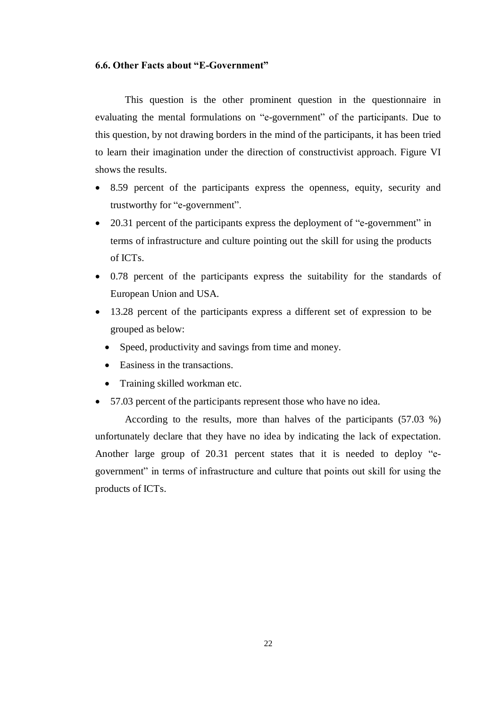# 6.6. Other Facts about "E-Government"

This question is the other prominent question in the questionnaire in evaluating the mental formulations on "e-government" of the participants. Due to this question, by not drawing borders in the mind of the participants, it has been tried to learn their imagination under the direction of constructivist approach. Figure VI shows the results.

- 8.59 percent of the participants express the openness, equity, security and trustworthy for "e-government".
- $\bullet$  20.31 percent of the participants express the deployment of "e-government" in terms of infrastructure and culture pointing out the skill for using the products of ICTs.
- 0.78 percent of the participants express the suitability for the standards of European Union and USA.
- 13.28 percent of the participants express a different set of expression to be grouped as below:
	- Speed, productivity and savings from time and money.
	- Easiness in the transactions.
	- Training skilled workman etc.
- 57.03 percent of the participants represent those who have no idea.

According to the results, more than halves of the participants (57.03 %) unfortunately declare that they have no idea by indicating the lack of expectation. Another large group of  $20.31$  percent states that it is needed to deploy "egovernment" in terms of infrastructure and culture that points out skill for using the products of ICTs.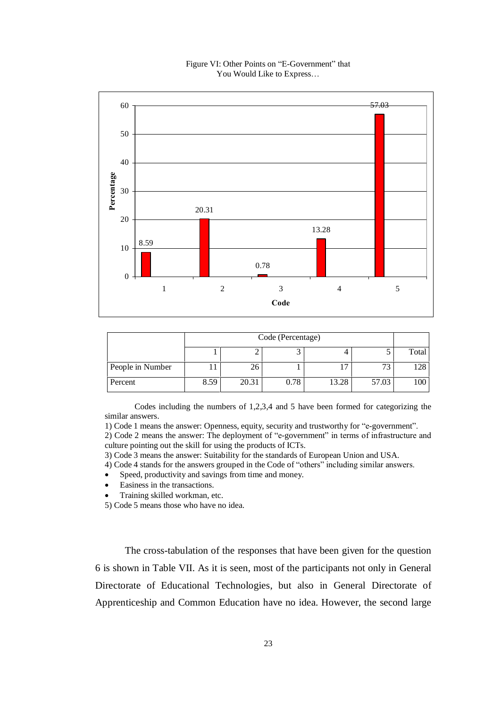# 8.59 20.31 0.78 13.28 57.03  $\Omega$ 10 20 30 40 50 60  $1 \t 2 \t 3 \t 4 \t 5$ **Code** Percentage

#### Figure VI: Other Points on "E-Government" that You Would Like to Express...

|                  | Code (Percentage) |       |      |       |               |       |
|------------------|-------------------|-------|------|-------|---------------|-------|
|                  |                   |       |      |       |               | Total |
| People in Number | ւ ւ               | 26    |      |       | $\mathcal{L}$ | 128   |
| Percent          | 8.59              | 20.31 | 0.78 | 13.28 | 57.03         | 100   |

Codes including the numbers of 1,2,3,4 and 5 have been formed for categorizing the similar answers.

1) Code 1 means the answer: Openness, equity, security and trustworthy for "e-government".

2) Code 2 means the answer: The deployment of "e-government" in terms of infrastructure and culture pointing out the skill for using the products of ICTs.

3) Code 3 means the answer: Suitability for the standards of European Union and USA.

4) Code 4 stands for the answers grouped in the Code of "others" including similar answers.

- Speed, productivity and savings from time and money.
- Easiness in the transactions.
- Training skilled workman, etc.

5) Code 5 means those who have no idea.

The cross-tabulation of the responses that have been given for the question 6 is shown in Table VII. As it is seen, most of the participants not only in General Directorate of Educational Technologies, but also in General Directorate of Apprenticeship and Common Education have no idea. However, the second large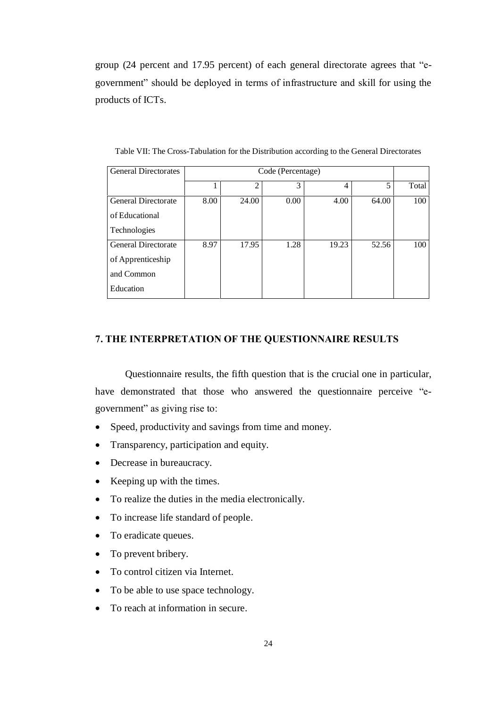group (24 percent and  $17.95$  percent) of each general directorate agrees that  $\text{``e-}$ government" should be deployed in terms of infrastructure and skill for using the products of ICTs.

| <b>General Directorates</b> |      | Code (Percentage) |      |       |       |       |
|-----------------------------|------|-------------------|------|-------|-------|-------|
|                             |      | $\overline{2}$    | 3    | 4     | 5     | Total |
| <b>General Directorate</b>  | 8.00 | 24.00             | 0.00 | 4.00  | 64.00 | 100   |
| of Educational              |      |                   |      |       |       |       |
| <b>Technologies</b>         |      |                   |      |       |       |       |
| <b>General Directorate</b>  | 8.97 | 17.95             | 1.28 | 19.23 | 52.56 | 100   |
| of Apprenticeship           |      |                   |      |       |       |       |
| and Common                  |      |                   |      |       |       |       |
| Education                   |      |                   |      |       |       |       |

Table VII: The Cross-Tabulation for the Distribution according to the General Directorates

# 7. THE INTERPRETATION OF THE QUESTIONNAIRE RESULTS

Questionnaire results, the fifth question that is the crucial one in particular, have demonstrated that those who answered the questionnaire perceive "egovernment" as giving rise to:

- Speed, productivity and savings from time and money.
- Transparency, participation and equity.
- Decrease in bureaucracy.
- Keeping up with the times.
- To realize the duties in the media electronically.
- To increase life standard of people.
- To eradicate queues.
- To prevent bribery.
- To control citizen via Internet.
- To be able to use space technology.
- To reach at information in secure.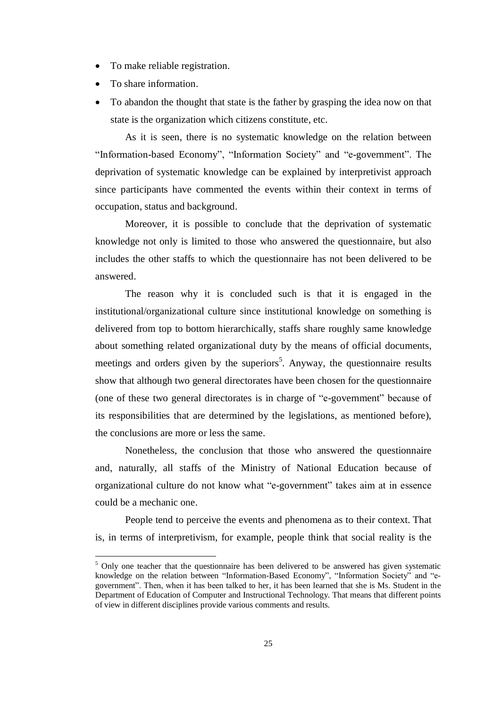- To make reliable registration.
- To share information.
- To abandon the thought that state is the father by grasping the idea now on that state is the organization which citizens constitute, etc.

As it is seen, there is no systematic knowledge on the relation between "Information-based Economy", "Information Society" and "e-government". The deprivation of systematic knowledge can be explained by interpretivist approach since participants have commented the events within their context in terms of occupation, status and background.

Moreover, it is possible to conclude that the deprivation of systematic knowledge not only is limited to those who answered the questionnaire, but also includes the other staffs to which the questionnaire has not been delivered to be answered.

The reason why it is concluded such is that it is engaged in the institutional/organizational culture since institutional knowledge on something is delivered from top to bottom hierarchically, staffs share roughly same knowledge about something related organizational duty by the means of official documents, meetings and orders given by the superiors 5 . Anyway, the questionnaire results show that although two general directorates have been chosen for the questionnaire (one of these two general directorates is in charge of "e-government" because of its responsibilities that are determined by the legislations, as mentioned before), the conclusions are more or less the same.

Nonetheless, the conclusion that those who answered the questionnaire and, naturally, all staffs of the Ministry of National Education because of organizational culture do not know what "e-government" takes aim at in essence could be a mechanic one.

People tend to perceive the events and phenomena as to their context. That is, in terms of interpretivism, for example, people think that social reality is the

 $<sup>5</sup>$  Only one teacher that the questionnaire has been delivered to be answered has given systematic</sup> knowledge on the relation between "Information-Based Economy", "Information Society" and "egovernment". Then, when it has been talked to her, it has been learned that she is Ms. Student in the Department of Education of Computer and Instructional Technology. That means that different points of view in different disciplines provide various comments and results.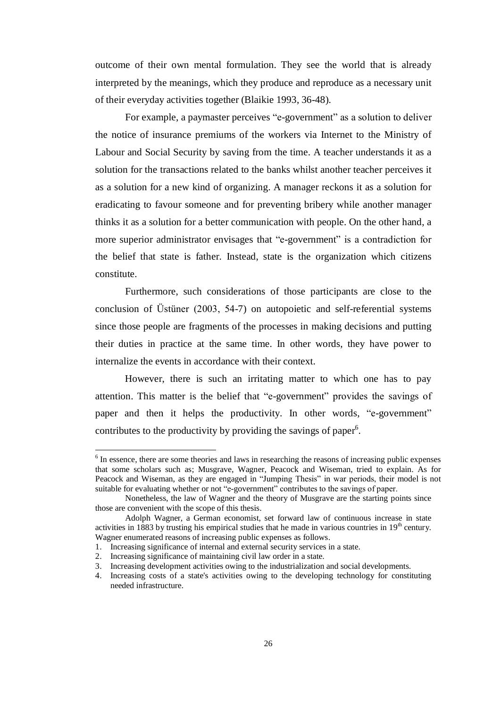outcome of their own mental formulation. They see the world that is already interpreted by the meanings, which they produce and reproduce as a necessary unit of their everyday activities together (Blaikie 1993, 36-48).

For example, a paymaster perceives "e-government" as a solution to deliver the notice of insurance premiums of the workers via Internet to the Ministry of Labour and Social Security by saving from the time. A teacher understands it as a solution for the transactions related to the banks whilst another teacher perceives it as a solution for a new kind of organizing. A manager reckons it as a solution for eradicating to favour someone and for preventing bribery while another manager thinks it as a solution for a better communication with people. On the other hand, a more superior administrator envisages that "e-government" is a contradiction for the belief that state is father. Instead, state is the organization which citizens constitute.

Furthermore, such considerations of those participants are close to the conclusion of Ustüner (2003, 54-7) on autopoietic and self-referential systems since those people are fragments of the processes in making decisions and putting their duties in practice at the same time. In other words, they have power to internalize the events in accordance with their context.

However, there is such an irritating matter to which one has to pay attention. This matter is the belief that "e-government" provides the savings of paper and then it helps the productivity. In other words, "e-government" contributes to the productivity by providing the savings of paper<sup>6</sup>.

<sup>&</sup>lt;sup>6</sup> In essence, there are some theories and laws in researching the reasons of increasing public expenses that some scholars such as; Musgrave, Wagner, Peacock and Wiseman, tried to explain. As for Peacock and Wiseman, as they are engaged in "Jumping Thesis" in war periods, their model is not suitable for evaluating whether or not "e-government" contributes to the savings of paper.

Nonetheless, the law of Wagner and the theory of Musgrave are the starting points since those are convenient with the scope of this thesis.

Adolph Wagner, a German economist, set forward law of continuous increase in state activities in 1883 by trusting his empirical studies that he made in various countries in  $19<sup>th</sup>$  century. Wagner enumerated reasons of increasing public expenses as follows.

<sup>1.</sup> Increasing significance of internal and external security services in a state.

<sup>2.</sup> Increasing significance of maintaining civil law order in a state.

<sup>3.</sup> Increasing development activities owing to the industrialization and social developments.

<sup>4.</sup> Increasing costs of a state's activities owing to the developing technology for constituting needed infrastructure.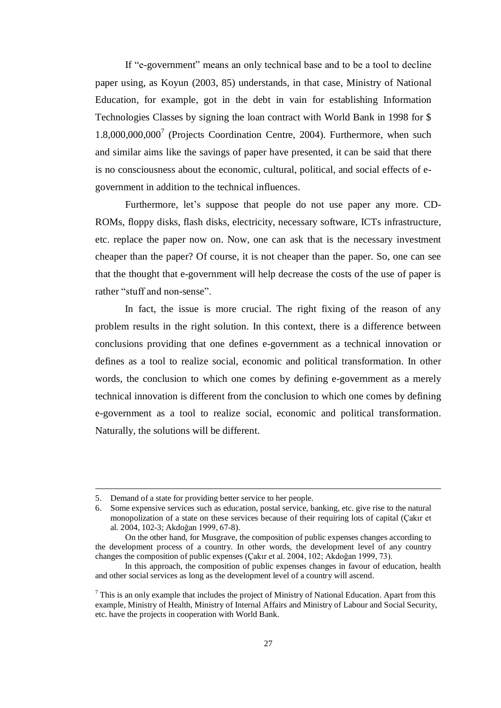If "e-government" means an only technical base and to be a tool to decline paper using, as Koyun (2003, 85) understands, in that case, Ministry of National Education, for example, got in the debt in vain for establishing Information Technologies Classes by signing the loan contract with World Bank in 1998 for \$ 1.8,000,000,000 <sup>7</sup> (Projects Coordination Centre, 2004). Furthermore, when such and similar aims like the savings of paper have presented, it can be said that there is no consciousness about the economic, cultural, political, and social effects of egovernment in addition to the technical influences.

Furthermore, let's suppose that people do not use paper any more. CD-ROMs, floppy disks, flash disks, electricity, necessary software, ICTs infrastructure, etc. replace the paper now on. Now, one can ask that is the necessary investment cheaper than the paper? Of course, it is not cheaper than the paper. So, one can see that the thought that e-government will help decrease the costs of the use of paper is rather "stuff and non-sense".

In fact, the issue is more crucial. The right fixing of the reason of any problem results in the right solution. In this context, there is a difference between conclusions providing that one defines e-government as a technical innovation or defines as a tool to realize social, economic and political transformation. In other words, the conclusion to which one comes by defining e-government as a merely technical innovation is different from the conclusion to which one comes by defining e-government as a tool to realize social, economic and political transformation. Naturally, the solutions will be different.

 $\overline{a}$ 

<sup>5.</sup> Demand of a state for providing better service to her people.

<sup>6.</sup> Some expensive services such as education, postal service, banking, etc. give rise to the natural monopolization of a state on these services because of their requiring lots of capital (Cakır et al. 2004, 102-3; Akdoğan 1999, 67-8).

On the other hand, for Musgrave, the composition of public expenses changes according to the development process of a country. In other words, the development level of any country changes the composition of public expenses (Çakır et al. 2004, 102; Akdoğan 1999, 73).

In this approach, the composition of public expenses changes in favour of education, health and other social services as long as the development level of a country will ascend.

 $<sup>7</sup>$  This is an only example that includes the project of Ministry of National Education. Apart from this</sup> example, Ministry of Health, Ministry of Internal Affairs and Ministry of Labour and Social Security, etc. have the projects in cooperation with World Bank.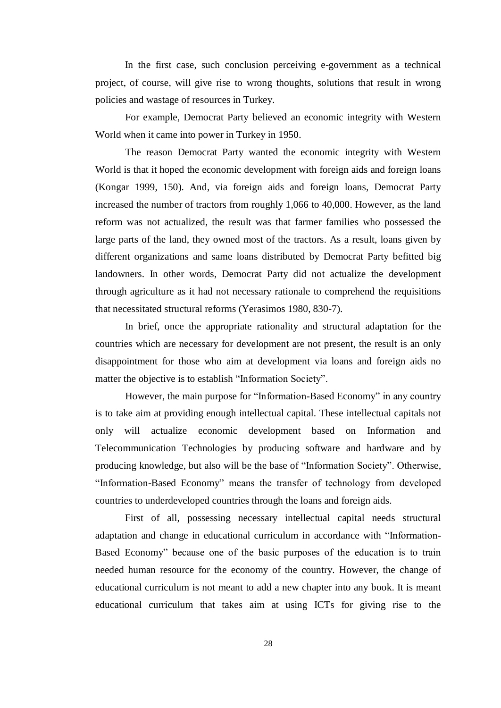In the first case, such conclusion perceiving e-government as a technical project, of course, will give rise to wrong thoughts, solutions that result in wrong policies and wastage of resources in Turkey.

For example, Democrat Party believed an economic integrity with Western World when it came into power in Turkey in 1950.

The reason Democrat Party wanted the economic integrity with Western World is that it hoped the economic development with foreign aids and foreign loans (Kongar 1999, 150). And, via foreign aids and foreign loans, Democrat Party increased the number of tractors from roughly 1,066 to 40,000. However, as the land reform was not actualized, the result was that farmer families who possessed the large parts of the land, they owned most of the tractors. As a result, loans given by different organizations and same loans distributed by Democrat Party befitted big landowners. In other words, Democrat Party did not actualize the development through agriculture as it had not necessary rationale to comprehend the requisitions that necessitated structural reforms (Yerasimos 1980, 830-7).

In brief, once the appropriate rationality and structural adaptation for the countries which are necessary for development are not present, the result is an only disappointment for those who aim at development via loans and foreign aids no matter the objective is to establish "Information Society".

However, the main purpose for "Information-Based Economy" in any country is to take aim at providing enough intellectual capital. These intellectual capitals not only will actualize economic development based on Information and Telecommunication Technologies by producing software and hardware and by producing knowledge, but also will be the base of "Information Society". Otherwise, "Information-Based Economy" means the transfer of technology from developed countries to underdeveloped countries through the loans and foreign aids.

First of all, possessing necessary intellectual capital needs structural adaptation and change in educational curriculum in accordance with "Information-Based Economy" because one of the basic purposes of the education is to train needed human resource for the economy of the country. However, the change of educational curriculum is not meant to add a new chapter into any book. It is meant educational curriculum that takes aim at using ICTs for giving rise to the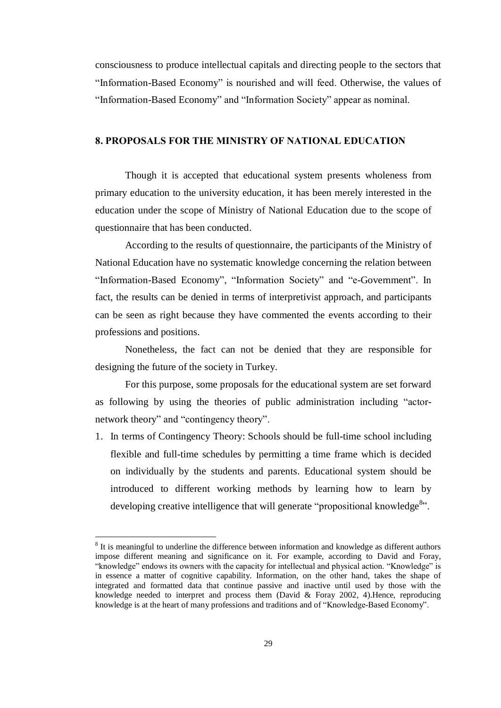consciousness to produce intellectual capitals and directing people to the sectors that "Information-Based Economy" is nourished and will feed. Otherwise, the values of "Information-Based Economy" and "Information Society" appear as nominal.

# 8. PROPOSALS FOR THE MINISTRY OF NATIONAL EDUCATION

Though it is accepted that educational system presents wholeness from primary education to the university education, it has been merely interested in the education under the scope of Ministry of National Education due to the scope of questionnaire that has been conducted.

According to the results of questionnaire, the participants of the Ministry of National Education have no systematic knowledge concerning the relation between "Information-Based Economy", "Information Society" and "e-Government". In fact, the results can be denied in terms of interpretivist approach, and participants can be seen as right because they have commented the events according to their professions and positions.

Nonetheless, the fact can not be denied that they are responsible for designing the future of the society in Turkey.

For this purpose, some proposals for the educational system are set forward as following by using the theories of public administration including "actornetwork theory" and "contingency theory".

1. In terms of Contingency Theory: Schools should be full-time school including flexible and full-time schedules by permitting a time frame which is decided on individually by the students and parents. Educational system should be introduced to different working methods by learning how to learn by developing creative intelligence that will generate "propositional knowledge<sup>8</sup>".

<sup>&</sup>lt;sup>8</sup> It is meaningful to underline the difference between information and knowledge as different authors impose different meaning and significance on it. For example, according to David and Foray, "knowledge" endows its owners with the capacity for intellectual and physical action. "Knowledge" is in essence a matter of cognitive capability. Information, on the other hand, takes the shape of integrated and formatted data that continue passive and inactive until used by those with the knowledge needed to interpret and process them (David & Foray 2002, 4).Hence, reproducing knowledge is at the heart of many professions and traditions and of "Knowledge-Based Economy".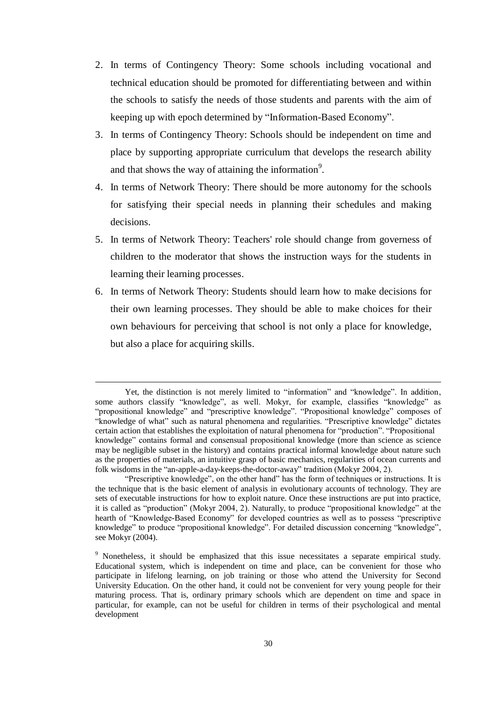- 2. In terms of Contingency Theory: Some schools including vocational and technical education should be promoted for differentiating between and within the schools to satisfy the needs of those students and parents with the aim of keeping up with epoch determined by "Information-Based Economy".
- 3. In terms of Contingency Theory: Schools should be independent on time and place by supporting appropriate curriculum that develops the research ability and that shows the way of attaining the information<sup>9</sup>.
- 4. In terms of Network Theory: There should be more autonomy for the schools for satisfying their special needs in planning their schedules and making decisions.
- 5. In terms of Network Theory: Teachers' role should change from governess of children to the moderator that shows the instruction ways for the students in learning their learning processes.
- 6. In terms of Network Theory: Students should learn how to make decisions for their own learning processes. They should be able to make choices for their own behaviours for perceiving that school is not only a place for knowledge, but also a place for acquiring skills.

Yet, the distinction is not merely limited to "information" and "knowledge". In addition, some authors classify "knowledge", as well. Mokyr, for example, classifies "knowledge" as "propositional knowledge" and "prescriptive knowledge". "Propositional knowledge" composes of "knowledge of what" such as natural phenomena and regularities. "Prescriptive knowledge" dictates certain action that establishes the exploitation of natural phenomena for "production". "Propositional knowledge" contains formal and consensual propositional knowledge (more than science as science may be negligible subset in the history) and contains practical informal knowledge about nature such as the properties of materials, an intuitive grasp of basic mechanics, regularities of ocean currents and folk wisdoms in the "an-apple-a-day-keeps-the-doctor-away" tradition (Mokyr 2004, 2).

<sup>&</sup>quot;Prescriptive knowledge", on the other hand" has the form of techniques or instructions. It is the technique that is the basic element of analysis in evolutionary accounts of technology. They are sets of executable instructions for how to exploit nature. Once these instructions are put into practice, it is called as "production" (Mokyr 2004, 2). Naturally, to produce "propositional knowledge" at the hearth of "Knowledge-Based Economy" for developed countries as well as to possess "prescriptive knowledge" to produce "propositional knowledge". For detailed discussion concerning "knowledge", see Mokyr (2004).

<sup>&</sup>lt;sup>9</sup> Nonetheless, it should be emphasized that this issue necessitates a separate empirical study. Educational system, which is independent on time and place, can be convenient for those who participate in lifelong learning, on job training or those who attend the University for Second University Education. On the other hand, it could not be convenient for very young people for their maturing process. That is, ordinary primary schools which are dependent on time and space in particular, for example, can not be useful for children in terms of their psychological and mental development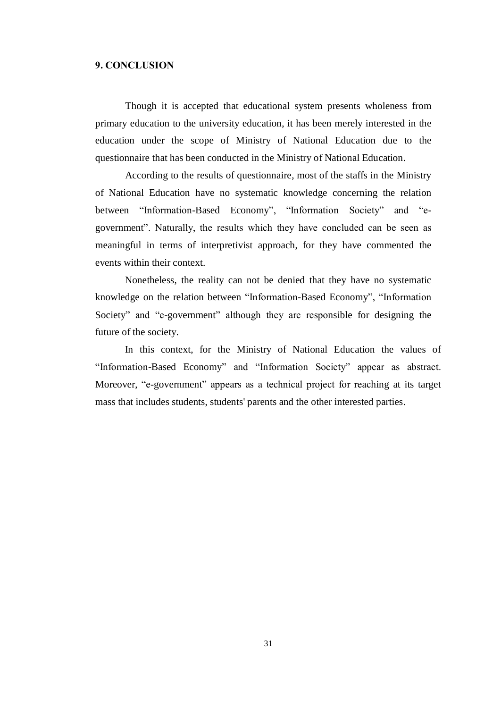## 9. CONCLUSION

Though it is accepted that educational system presents wholeness from primary education to the university education, it has been merely interested in the education under the scope of Ministry of National Education due to the questionnaire that has been conducted in the Ministry of National Education.

According to the results of questionnaire, most of the staffs in the Ministry of National Education have no systematic knowledge concerning the relation between "Information-Based Economy", "Information Society" and "egovernment". Naturally, the results which they have concluded can be seen as meaningful in terms of interpretivist approach, for they have commented the events within their context.

Nonetheless, the reality can not be denied that they have no systematic knowledge on the relation between "Information-Based Economy", "Information Society" and "e-government" although they are responsible for designing the future of the society.

In this context, for the Ministry of National Education the values of "Information-Based Economy" and "Information Society" appear as abstract. Moreover, "e-government" appears as a technical project for reaching at its target mass that includes students, students' parents and the other interested parties.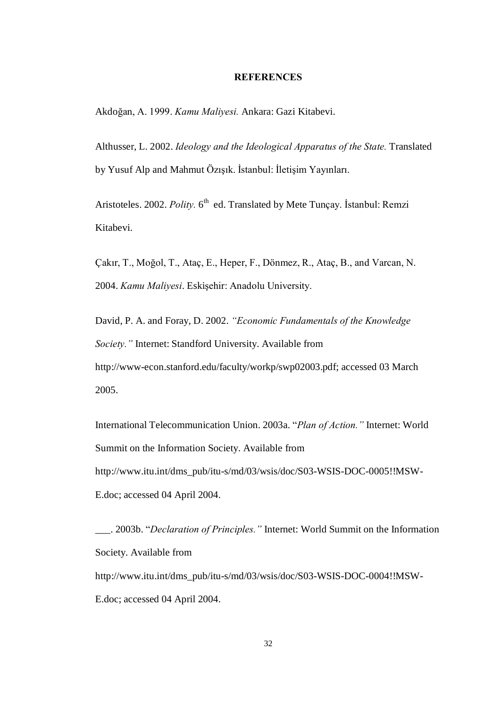### **REFERENCES**

Akdoğan, A. 1999. Kamu Maliyesi. Ankara: Gazi Kitabevi.

Althusser, L. 2002. Ideology and the Ideological Apparatus of the State. Translated by Yusuf Alp and Mahmut Özisik, İstanbul: İletisim Yayınları.

Aristoteles. 2002. Polity. 6<sup>th</sup> ed. Translated by Mete Tuncay. Istanbul: Remzi Kitabevi.

Cakir, T., Moğol, T., Ataç, E., Heper, F., Dönmez, R., Ataç, B., and Varcan, N. 2004. Kamu Maliyesi. Eskişehir: Anadolu University.

David, P. A. and Foray, D. 2002. "Economic Fundamentals of the Knowledge Society." Internet: Standford University. Available from http://www-econ.stanford.edu/faculty/workp/swp02003.pdf; accessed 03 March 2005.

International Telecommunication Union. 2003a. "Plan of Action." Internet: World Summit on the Information Society. Available from http://www.itu.int/dms\_pub/itu-s/md/03/wsis/doc/S03-WSIS-DOC-0005!!MSW-E.doc; accessed 04 April 2004.

\_\_\_. 2003b. "Declaration of Principles." Internet: World Summit on the Information Society. Available from http://www.itu.int/dms\_pub/itu-s/md/03/wsis/doc/S03-WSIS-DOC-0004!!MSW-E.doc; accessed 04 April 2004.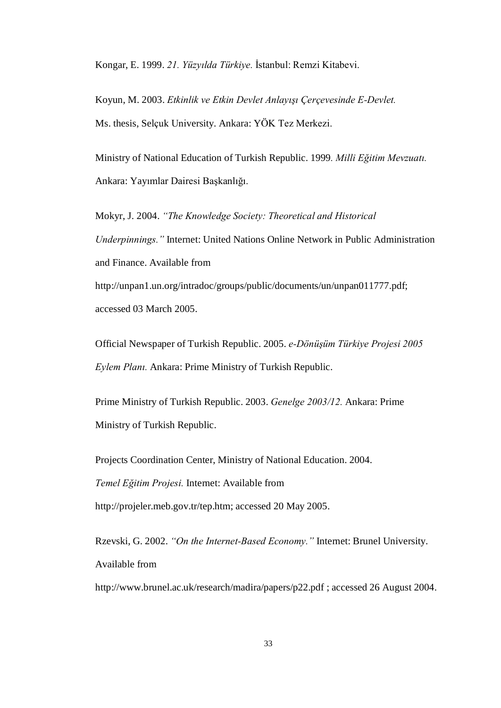Kongar, E. 1999. 21. Yüzyılda Türkiye. İstanbul: Remzi Kitabevi.

Koyun, M. 2003. Etkinlik ve Etkin Devlet Anlayışı Çerçevesinde E-Devlet. Ms. thesis, Selçuk University. Ankara: YÖK Tez Merkezi.

Ministry of National Education of Turkish Republic. 1999. Milli Eğitim Mevzuatı. Ankara: Yayımlar Dairesi Başkanlığı.

Mokyr, J. 2004. "The Knowledge Society: Theoretical and Historical Underpinnings." Internet: United Nations Online Network in Public Administration and Finance. Available from http://unpan1.un.org/intradoc/groups/public/documents/un/unpan011777.pdf; accessed 03 March 2005.

Official Newspaper of Turkish Republic. 2005. e-Dönüşüm Türkiye Projesi 2005 Eylem Planı. Ankara: Prime Ministry of Turkish Republic.

Prime Ministry of Turkish Republic. 2003. Genelge 2003/12. Ankara: Prime Ministry of Turkish Republic.

Projects Coordination Center, Ministry of National Education. 2004.

Temel Eğitim Projesi. Internet: Available from

http://projeler.meb.gov.tr/tep.htm; accessed 20 May 2005.

Rzevski, G. 2002. "On the Internet-Based Economy." Internet: Brunel University. Available from

http://www.brunel.ac.uk/research/madira/papers/p22.pdf; accessed 26 August 2004.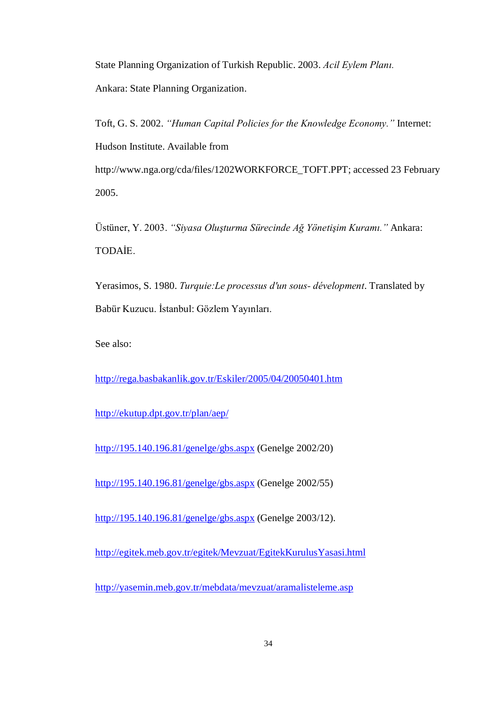State Planning Organization of Turkish Republic. 2003. Acil Eylem Plan. Ankara: State Planning Organization.

Toft, G. S. 2002. "Human Capital Policies for the Knowledge Economy." Internet: Hudson Institute. Available from [http://www.nga.org/cda/files/1202WORKFORCE\\_TOFT.PPT;](http://www.nga.org/cda/files/1202WORKFORCE_TOFT.PPT;) accessed 23 February

2005.

Üstüner, Y. 2003. "Siyasa Oluşturma Sürecinde Ağ Yönetişim Kuramı." Ankara: **TODAİE** 

Yerasimos, S. 1980. Turquie: Le processus d'un sous- dévelopment. Translated by Babür Kuzucu. İstanbul: Gözlem Yayınları.

See also:

<http://rega.basbakanlik.gov.tr/Eskiler/2005/04/20050401.htm>

<http://ekutup.dpt.gov.tr/plan/aep/>

<http://195.140.196.81/genelge/gbs.aspx> (Genelge 2002/20)

<http://195.140.196.81/genelge/gbs.aspx> (Genelge 2002/55)

<http://195.140.196.81/genelge/gbs.aspx> (Genelge 2003/12).

<http://egitek.meb.gov.tr/egitek/Mevzuat/EgitekKurulusYasasi.html>

<http://yasemin.meb.gov.tr/mebdata/mevzuat/aramalisteleme.asp>